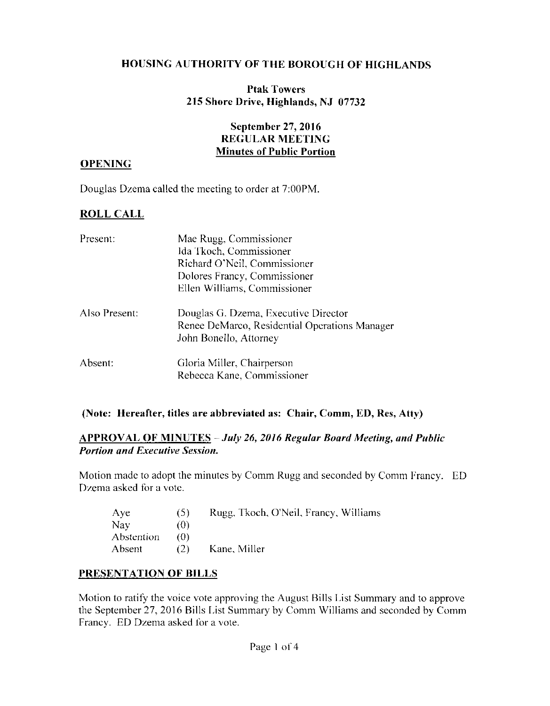#### **HOUSING AUTHORITY OF THE BOROUGH OF HIGHLANDS**

#### **Ptak Towers** 215 Shore Drive, Highlands, NJ 07732

### **September 27, 2016 REGULAR MEETING Minutes of Public Portion**

#### **OPENING**

Douglas Dzema called the meeting to order at 7:00PM.

# **ROLL CALL**

| Present:      | Mae Rugg, Commissioner                        |
|---------------|-----------------------------------------------|
|               | Ida Tkoch, Commissioner                       |
|               | Richard O'Neil, Commissioner                  |
|               | Dolores Francy, Commissioner                  |
|               | Ellen Williams, Commissioner                  |
| Also Present: | Douglas G. Dzema, Executive Director          |
|               | Renee DeMarco, Residential Operations Manager |
|               | John Bonello, Attorney                        |
| Absent:       | Gloria Miller, Chairperson                    |
|               | Rebecca Kane, Commissioner                    |

#### (Note: Hereafter, titles are abbreviated as: Chair, Comm, ED, Res, Atty)

#### **APPROVAL OF MINUTES - July 26, 2016 Regular Board Meeting, and Public Portion and Executive Session.**

Motion made to adopt the minutes by Comm Rugg and seconded by Comm Francy. ED Dzema asked for a vote.

| Aye        | (5) | Rugg, Tkoch, O'Neil, Francy, Williams |
|------------|-----|---------------------------------------|
| Nay        | (0) |                                       |
| Abstention | 70) |                                       |
| Absent     | (2) | Kane, Miller                          |

#### PRESENTATION OF BILLS

Motion to ratify the voice vote approving the August Bills List Summary and to approve the September 27, 2016 Bills List Summary by Comm Williams and seconded by Comm Francy. ED Dzema asked for a vote.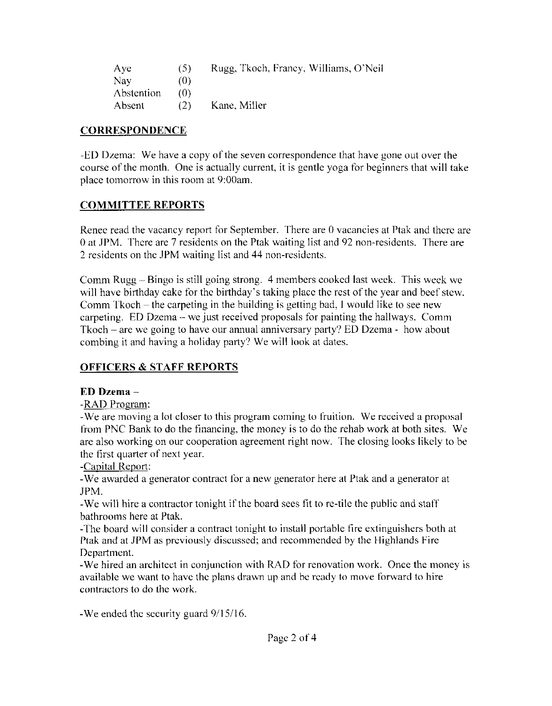| Aye        | (5) | Rugg, Tkoch, Francy, Williams, O'Neil |
|------------|-----|---------------------------------------|
| Nay        | (0) |                                       |
| Abstention | (O) |                                       |
| Absent     | (2) | Kane, Miller                          |

### **CORRESPONDENCE**

-ED Dzema: We have a copy of the seven correspondence that have gone out over the course of the month. One is actually current, it is gentle yoga for beginners that will take place tomorrow in this room at 9:00am.

# **COMMITTEE REPORTS**

Renee read the vacancy report for September. There are 0 vacancies at Ptak and there are 0 at JPM. There are 7 residents on the Ptak waiting list and 92 non-residents. There are 2 residents on the JPM waiting list and 44 non-residents.

Comm Rugg – Bingo is still going strong. 4 members cooked last week. This week we will have birthday cake for the birthday's taking place the rest of the year and beef stew. Comm Tkoch – the carpeting in the building is getting bad, I would like to see new carpeting. ED Dzema – we just received proposals for painting the hallways. Comm  $Tkoch$  – are we going to have our annual anniversary party? ED Dzema - how about combing it and having a holiday party? We will look at dates.

# **OFFICERS & STAFF REPORTS**

# $ED$  Dzema  $-$

-RAD Program:

-We are moving a lot closer to this program coming to fruition. We received a proposal from PNC Bank to do the financing, the money is to do the rehab work at both sites. We are also working on our cooperation agreement right now. The closing looks likely to be the first quarter of next year.

-Capital Report:

-We awarded a generator contract for a new generator here at Ptak and a generator at JPM.

-We will hire a contractor tonight if the board sees fit to re-tile the public and staff bathrooms here at Ptak.

-The board will consider a contract tonight to install portable fire extinguishers both at Ptak and at JPM as previously discussed; and recommended by the Highlands Fire Department.

-We hired an architect in conjunction with RAD for renovation work. Once the money is available we want to have the plans drawn up and be ready to move forward to hire contractors to do the work.

-We ended the security guard 9/15/16.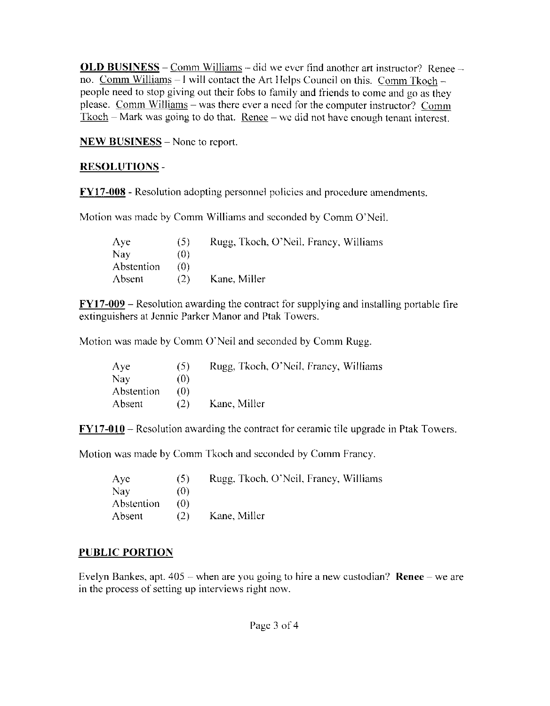**OLD BUSINESS** – Comm Williams – did we ever find another art instructor? Renee – no. Comm Williams - I will contact the Art Helps Council on this. Comm Tkoch people need to stop giving out their fobs to family and friends to come and go as they please. Comm Williams – was there ever a need for the computer instructor? Comm  $Tkoch$  – Mark was going to do that. Renee – we did not have enough tenant interest.

**NEW BUSINESS** – None to report.

# **RESOLUTIONS-**

**FY17-008** - Resolution adopting personnel policies and procedure amendments.

Motion was made by Comm Williams and seconded by Comm O'Neil.

| $\Lambda$ ye | (5) | Rugg, Tkoch, O'Neil, Francy, Williams |
|--------------|-----|---------------------------------------|
| Nay          | (0) |                                       |
| Abstention   | 70) |                                       |
| Absent       | (2) | Kane, Miller                          |

 $FY17-009$  – Resolution awarding the contract for supplying and installing portable fire extinguishers at Jennic Parker Manor and Ptak Towers.

Motion was made by Comm O'Neil and seconded by Comm Rugg.

| Ave        | (5) | Rugg, Tkoch, O'Neil, Francy, Williams |
|------------|-----|---------------------------------------|
| Nay        | (0) |                                       |
| Abstention | 70) |                                       |
| Absent     | (2) | Kane, Miller                          |

 $FY17-010$  – Resolution awarding the contract for ceramic tile upgrade in Ptak Towers.

Motion was made by Comm Tkoch and seconded by Comm Francy.

| Aye                      | (5) | Rugg, Tkoch, O'Neil, Francy, Williams |
|--------------------------|-----|---------------------------------------|
| Nay                      | (0) |                                       |
| <i><b>Abstention</b></i> | 70) |                                       |
| Absent                   | (2) | Kane, Miller                          |

# **PUBLIC PORTION**

Evelyn Bankes, apt.  $405$  – when are you going to hire a new custodian? Renee – we are in the process of setting up interviews right now.